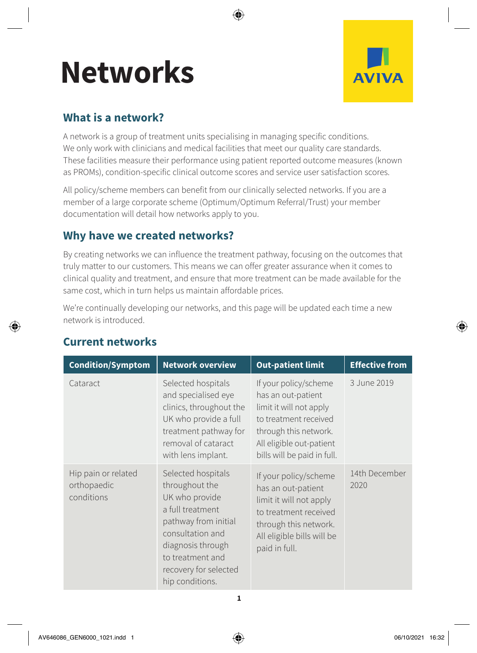# **Networks**



## **What is a network?**

A network is a group of treatment units specialising in managing specific conditions. We only work with clinicians and medical facilities that meet our quality care standards. These facilities measure their performance using patient reported outcome measures (known as PROMs), condition-specific clinical outcome scores and service user satisfaction scores.

All policy/scheme members can benefit from our clinically selected networks. If you are a member of a large corporate scheme (Optimum/Optimum Referral/Trust) your member documentation will detail how networks apply to you.

# **Why have we created networks?**

By creating networks we can influence the treatment pathway, focusing on the outcomes that truly matter to our customers. This means we can offer greater assurance when it comes to clinical quality and treatment, and ensure that more treatment can be made available for the same cost, which in turn helps us maintain affordable prices.

We're continually developing our networks, and this page will be updated each time a new network is introduced.

| <b>Condition/Symptom</b>                         | <b>Network overview</b>                                                                                                                                                                                     | <b>Out-patient limit</b>                                                                                                                                                            | <b>Effective from</b> |
|--------------------------------------------------|-------------------------------------------------------------------------------------------------------------------------------------------------------------------------------------------------------------|-------------------------------------------------------------------------------------------------------------------------------------------------------------------------------------|-----------------------|
| Cataract                                         | Selected hospitals<br>and specialised eye<br>clinics, throughout the<br>UK who provide a full<br>treatment pathway for<br>removal of cataract<br>with lens implant.                                         | If your policy/scheme<br>has an out-patient<br>limit it will not apply<br>to treatment received<br>through this network.<br>All eligible out-patient<br>bills will be paid in full. | 3 June 2019           |
| Hip pain or related<br>orthopaedic<br>conditions | Selected hospitals<br>throughout the<br>UK who provide<br>a full treatment<br>pathway from initial<br>consultation and<br>diagnosis through<br>to treatment and<br>recovery for selected<br>hip conditions. | If your policy/scheme<br>has an out-patient<br>limit it will not apply<br>to treatment received<br>through this network.<br>All eligible bills will be<br>paid in full.             | 14th December<br>2020 |

# **Current networks**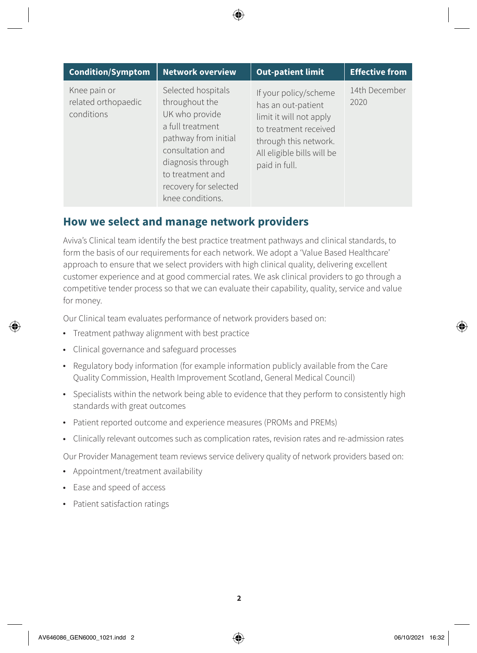| <b>Condition/Symptom</b>                          | <b>Network overview</b>                                                                                                                                                                                      | <b>Out-patient limit</b>                                                                                                                                                | <b>Effective from</b> |
|---------------------------------------------------|--------------------------------------------------------------------------------------------------------------------------------------------------------------------------------------------------------------|-------------------------------------------------------------------------------------------------------------------------------------------------------------------------|-----------------------|
| Knee pain or<br>related orthopaedic<br>conditions | Selected hospitals<br>throughout the<br>UK who provide<br>a full treatment<br>pathway from initial<br>consultation and<br>diagnosis through<br>to treatment and<br>recovery for selected<br>knee conditions. | If your policy/scheme<br>has an out-patient<br>limit it will not apply<br>to treatment received<br>through this network.<br>All eligible bills will be<br>paid in full. | 14th December<br>2020 |

### **How we select and manage network providers**

Aviva's Clinical team identify the best practice treatment pathways and clinical standards, to form the basis of our requirements for each network. We adopt a 'Value Based Healthcare' approach to ensure that we select providers with high clinical quality, delivering excellent customer experience and at good commercial rates. We ask clinical providers to go through a competitive tender process so that we can evaluate their capability, quality, service and value for money.

Our Clinical team evaluates performance of network providers based on:

- Treatment pathway alignment with best practice
- Clinical governance and safeguard processes
- Regulatory body information (for example information publicly available from the Care Quality Commission, Health Improvement Scotland, General Medical Council)
- Specialists within the network being able to evidence that they perform to consistently high standards with great outcomes
- Patient reported outcome and experience measures (PROMs and PREMs)
- Clinically relevant outcomes such as complication rates, revision rates and re-admission rates

Our Provider Management team reviews service delivery quality of network providers based on:

- Appointment/treatment availability
- Ease and speed of access
- Patient satisfaction ratings